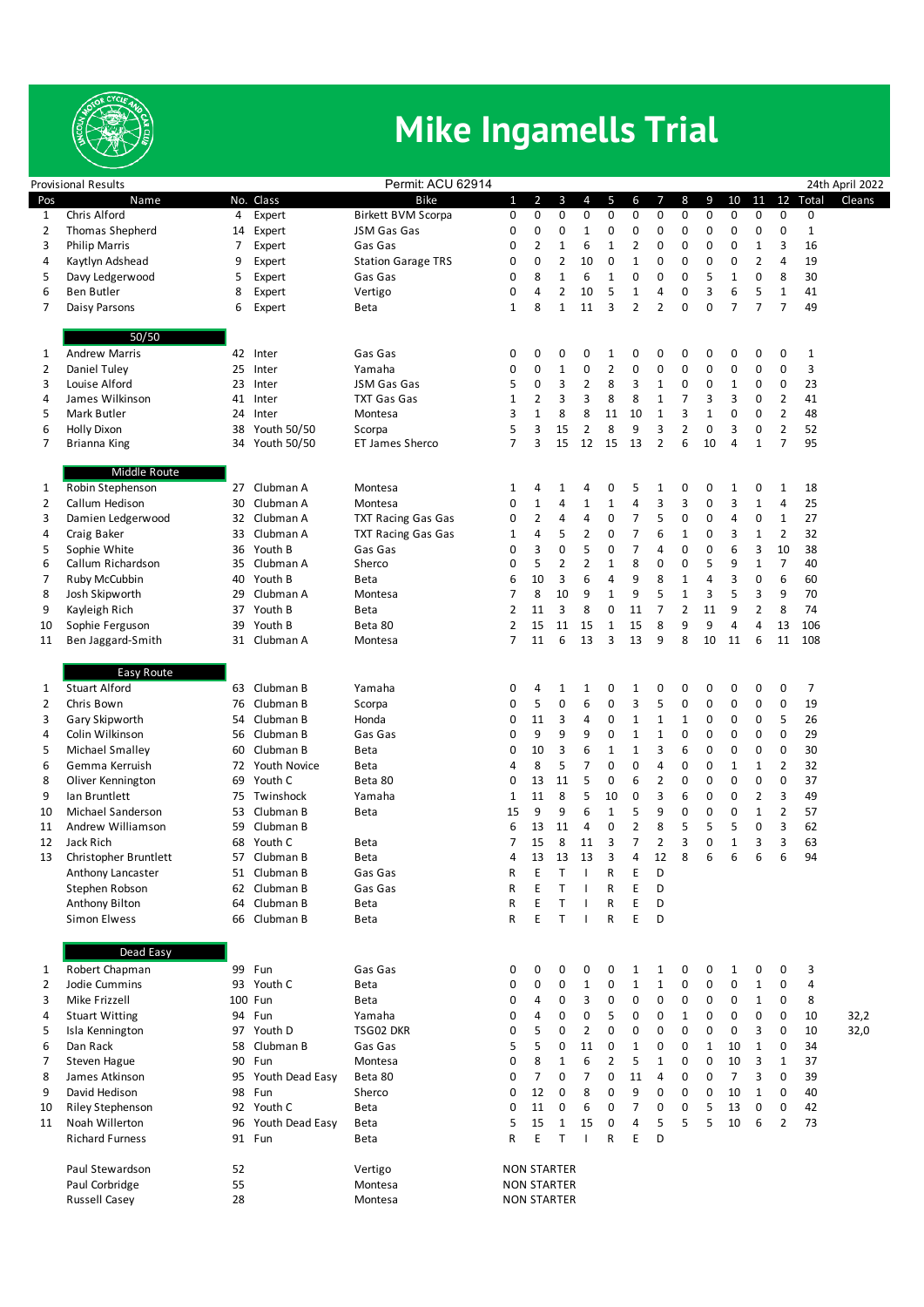

## **Mike Ingamells Trial**

| Permit: ACU 62914<br><b>Provisional Results</b> |                                   |    |                         |                           |                |                    |                     |                          |                   |                                  |                     |                |              |                |                   |                |                | 24th April 2022 |
|-------------------------------------------------|-----------------------------------|----|-------------------------|---------------------------|----------------|--------------------|---------------------|--------------------------|-------------------|----------------------------------|---------------------|----------------|--------------|----------------|-------------------|----------------|----------------|-----------------|
| Pos                                             | Name                              |    | No. Class               | <b>Bike</b>               | $\mathbf{1}$   | $\overline{2}$     | 3                   | 4                        | 5                 | 6                                | 7                   | 8              | 9            | 10             | 11                | 12             | Total          | Cleans          |
| 1                                               | Chris Alford                      | 4  | Expert                  | <b>Birkett BVM Scorpa</b> | 0              | 0                  | 0                   | $\pmb{0}$                | 0                 | 0                                | 0                   | $\mathbf 0$    | 0            | 0              | 0                 | 0              | 0              |                 |
| 2                                               | Thomas Shepherd                   | 14 | Expert                  | JSM Gas Gas               | 0              | 0                  | 0                   | $\mathbf{1}$             | 0                 | 0                                | 0                   | 0              | 0            | 0              | 0                 | 0              | $\mathbf{1}$   |                 |
| 3                                               | <b>Philip Marris</b>              | 7  | Expert                  | Gas Gas                   | 0              | 2                  | $\mathbf{1}$        | 6                        | 1                 | 2                                | $\mathbf 0$         | 0              | 0            | 0              | $\mathbf{1}$      | 3              | 16             |                 |
| 4                                               | Kaytlyn Adshead                   | 9  | Expert                  | <b>Station Garage TRS</b> | 0              | 0                  | $\overline{2}$      | 10                       | 0                 | $1\,$                            | $\mathbf 0$         | 0              | 0            | 0              | $\overline{2}$    | 4              | 19             |                 |
| 5                                               | Davy Ledgerwood                   | 5  | Expert                  | Gas Gas                   | 0              | 8                  | $\mathbf 1$         | 6                        | 1                 | 0                                | 0                   | 0              | 5            | $\mathbf{1}$   | 0                 | 8              | 30             |                 |
| 6                                               | <b>Ben Butler</b>                 | 8  | Expert                  | Vertigo                   | 0              | 4                  | $\overline{2}$      | 10                       | 5                 | $\mathbf 1$                      | $\overline{4}$      | 0              | 3            | 6              | 5                 | $\mathbf 1$    | 41             |                 |
| 7                                               | Daisy Parsons                     | 6  | Expert                  | <b>Beta</b>               | 1              | 8                  | $\mathbf{1}$        | 11                       | 3                 | $\overline{2}$                   | $\overline{2}$      | 0              | 0            | $\overline{7}$ | $\overline{7}$    | $\overline{7}$ | 49             |                 |
|                                                 |                                   |    |                         |                           |                |                    |                     |                          |                   |                                  |                     |                |              |                |                   |                |                |                 |
|                                                 | 50/50                             |    |                         |                           |                |                    |                     |                          |                   |                                  |                     |                |              |                |                   |                |                |                 |
| 1                                               | <b>Andrew Marris</b>              |    | 42 Inter                | Gas Gas                   | 0              | 0                  | 0                   | 0                        | $\mathbf{1}$      | 0                                | 0                   | 0              | 0            | 0              | 0                 | 0              | $\mathbf{1}$   |                 |
| 2                                               | Daniel Tuley                      | 25 | Inter                   | Yamaha                    | 0              | 0                  | $\mathbf 1$         | $\pmb{0}$                | $\overline{2}$    | 0                                | 0                   | 0              | 0            | 0              | $\pmb{0}$         | $\mathbf 0$    | 3              |                 |
| 3                                               | Louise Alford                     | 23 | Inter                   | JSM Gas Gas               | 5              | 0                  | 3                   | $\overline{2}$           | 8                 | 3                                | $\mathbf 1$         | 0              | 0            | $\mathbf{1}$   | 0                 | 0              | 23             |                 |
| 4                                               | James Wilkinson                   | 41 | Inter                   | <b>TXT Gas Gas</b>        | 1              | $\overline{2}$     | 3                   | 3                        | 8                 | 8                                | $\mathbf{1}$        | 7              | 3            | 3              | 0                 | $\overline{2}$ | 41             |                 |
| 5                                               | Mark Butler                       | 24 | Inter                   | Montesa                   | 3              | $\mathbf{1}$       | 8                   | 8                        | 11                | 10                               | $\mathbf{1}$        | 3              | $\mathbf 1$  | 0              | 0                 | $\overline{2}$ | 48             |                 |
| 6                                               | <b>Holly Dixon</b>                |    | 38 Youth 50/50          | Scorpa                    | 5              | 3                  | 15                  | $\overline{2}$           | 8                 | 9                                | 3                   | $\overline{2}$ | 0            | 3              | 0                 | $\overline{2}$ | 52             |                 |
| 7                                               | Brianna King                      |    | 34 Youth 50/50          | ET James Sherco           | $\overline{7}$ | 3                  | 15                  | 12                       | 15                | 13                               | $\overline{2}$      | 6              | 10           | 4              | $\mathbf{1}$      | $\overline{7}$ | 95             |                 |
|                                                 |                                   |    |                         |                           |                |                    |                     |                          |                   |                                  |                     |                |              |                |                   |                |                |                 |
|                                                 | Middle Route                      |    |                         |                           |                |                    |                     |                          |                   |                                  |                     |                |              |                |                   |                |                |                 |
| 1                                               | Robin Stephenson                  |    | 27 Clubman A            | Montesa                   | 1              | 4                  | 1                   | 4                        | 0                 | 5                                | 1                   | 0              | 0            | 1              | 0                 | $\mathbf{1}$   | 18             |                 |
| 2                                               | Callum Hedison                    | 30 | Clubman A               | Montesa                   | 0              | $\mathbf 1$        | 4                   | $\mathbf{1}$             | $\mathbf{1}$      | $\sqrt{4}$                       | 3                   | 3              | 0            | 3              | $\mathbf 1$       | 4              | 25             |                 |
| 3                                               | Damien Ledgerwood                 |    | 32 Clubman A            | <b>TXT Racing Gas Gas</b> | 0              | $\overline{2}$     | 4                   | 4                        | 0                 | $\overline{7}$<br>$\overline{7}$ | 5<br>6              | 0              | 0            | 4              | 0                 | $\mathbf{1}$   | 27             |                 |
| 4                                               | Craig Baker                       | 33 | Clubman A               | <b>TXT Racing Gas Gas</b> | 1              | 4                  | 5                   | $\overline{2}$           | 0                 |                                  |                     | $\mathbf{1}$   | 0            | 3              | $\mathbf{1}$      | $\overline{2}$ | 32             |                 |
| 5<br>6                                          | Sophie White<br>Callum Richardson | 35 | 36 Youth B<br>Clubman A | Gas Gas<br>Sherco         | 0<br>0         | 3<br>5             | 0<br>$\overline{2}$ | 5<br>$\overline{2}$      | 0<br>$\mathbf{1}$ | $\overline{7}$<br>8              | $\overline{4}$<br>0 | 0<br>0         | 0<br>5       | 6<br>9         | 3<br>$\mathbf{1}$ | 10<br>7        | 38<br>40       |                 |
| 7                                               | Ruby McCubbin                     | 40 | Youth B                 | <b>Beta</b>               | 6              | 10                 | 3                   | 6                        | 4                 | 9                                | 8                   | $\mathbf 1$    | 4            | 3              | 0                 | 6              | 60             |                 |
| 8                                               | Josh Skipworth                    | 29 | Clubman A               | Montesa                   | 7              | 8                  | 10                  | 9                        | $\mathbf{1}$      | 9                                | 5                   | $\mathbf 1$    | 3            | 5              | 3                 | 9              | 70             |                 |
| 9                                               | Kayleigh Rich                     | 37 | Youth B                 | <b>Beta</b>               | $\overline{2}$ | 11                 | 3                   | 8                        | 0                 | 11                               | $\overline{7}$      | $\overline{2}$ | 11           | 9              | $\overline{2}$    | 8              | 74             |                 |
| 10                                              | Sophie Ferguson                   | 39 | Youth B                 | Beta 80                   | 2              | 15                 | 11                  | 15                       | $\mathbf{1}$      | 15                               | 8                   | 9              | 9            | 4              | $\overline{4}$    | 13             | 106            |                 |
| 11                                              | Ben Jaggard-Smith                 |    | 31 Clubman A            | Montesa                   | 7              | 11                 | 6                   | 13                       | 3                 | 13                               | 9                   | 8              | 10           | 11             | 6                 | 11             | 108            |                 |
|                                                 |                                   |    |                         |                           |                |                    |                     |                          |                   |                                  |                     |                |              |                |                   |                |                |                 |
|                                                 | Easy Route                        |    |                         |                           |                |                    |                     |                          |                   |                                  |                     |                |              |                |                   |                |                |                 |
| 1                                               | <b>Stuart Alford</b>              |    | 63 Clubman B            | Yamaha                    | 0              | 4                  | 1                   | 1                        | 0                 | $\mathbf{1}$                     | 0                   | 0              | 0            | 0              | 0                 | 0              | $\overline{7}$ |                 |
| 2                                               | Chris Bown                        |    | 76 Clubman B            | Scorpa                    | 0              | 5                  | $\pmb{0}$           | 6                        | 0                 | 3                                | 5                   | 0              | 0            | 0              | 0                 | $\mathbf 0$    | 19             |                 |
| 3                                               | Gary Skipworth                    | 54 | Clubman B               | Honda                     | 0              | 11                 | 3                   | 4                        | 0                 | $\mathbf{1}$                     | $\mathbf 1$         | $\mathbf 1$    | 0            | 0              | 0                 | 5              | 26             |                 |
| 4                                               | Colin Wilkinson                   |    | 56 Clubman B            | Gas Gas                   | 0              | 9                  | 9                   | 9                        | 0                 | $\mathbf{1}$                     | $\mathbf 1$         | 0              | 0            | 0              | 0                 | $\mathbf 0$    | 29             |                 |
| 5                                               | Michael Smalley                   | 60 | Clubman B               | <b>Beta</b>               | 0              | 10                 | 3                   | 6                        | $\mathbf{1}$      | $1\,$                            | 3                   | 6              | 0            | 0              | 0                 | $\mathbf 0$    | 30             |                 |
| 6                                               | Gemma Kerruish                    |    | 72 Youth Novice         | <b>Beta</b>               | 4              | 8                  | 5                   | $\overline{7}$           | 0                 | 0                                | $\overline{4}$      | 0              | 0            | $\mathbf 1$    | $\mathbf{1}$      | $\overline{2}$ | 32             |                 |
| 8                                               | Oliver Kennington                 |    | 69 Youth C              | Beta 80                   | 0              | 13                 | 11                  | 5                        | 0                 | 6                                | $\overline{2}$      | 0              | 0            | 0              | $\pmb{0}$         | $\mathbf 0$    | 37             |                 |
| 9                                               | Ian Bruntlett                     |    | 75 Twinshock            | Yamaha                    | 1              | 11                 | 8                   | 5                        | 10                | 0                                | 3                   | 6              | 0            | 0              | $\overline{2}$    | 3              | 49             |                 |
| 10                                              | Michael Sanderson                 | 53 | Clubman B               | <b>Beta</b>               | 15             | 9                  | 9                   | 6                        | $\mathbf{1}$      | 5                                | 9                   | 0              | 0            | 0              | $\mathbf{1}$      | $\overline{2}$ | 57             |                 |
| 11                                              | Andrew Williamson                 |    | 59 Clubman B            |                           | 6              | 13                 | 11                  | 4                        | 0                 | $\overline{2}$                   | 8                   | 5              | 5            | 5              | 0                 | 3              | 62             |                 |
| 12                                              | Jack Rich                         | 68 | Youth C                 | <b>Beta</b>               | 7              | 15                 | 8                   | 11                       | 3                 | $\overline{7}$                   | $\overline{2}$      | 3              | 0            | $\mathbf 1$    | 3                 | 3              | 63             |                 |
| 13                                              | Christopher Bruntlett             |    | 57 Clubman B            | Beta                      | 4              | 13                 | 13                  | 13                       | 3                 | 4                                | 12                  | 8              | 6            | 6              | 6                 | 6              | 94             |                 |
|                                                 | Anthony Lancaster                 | 51 | Clubman B               | Gas Gas                   | R              | Ε                  |                     |                          | R                 | Ε                                | D                   |                |              |                |                   |                |                |                 |
|                                                 | Stephen Robson                    |    | 62 Clubman B            | Gas Gas                   | R              | E                  | T                   |                          | R                 | E                                | D                   |                |              |                |                   |                |                |                 |
|                                                 | Anthony Bilton                    |    | 64 Clubman B            | <b>Beta</b>               | R              | Ε                  | $\mathsf T$         |                          | R                 | E                                | D                   |                |              |                |                   |                |                |                 |
|                                                 | Simon Elwess                      |    | 66 Clubman B            | Beta                      | R              | E                  | $\mathsf T$         |                          | R                 | E                                | D                   |                |              |                |                   |                |                |                 |
|                                                 |                                   |    |                         |                           |                |                    |                     |                          |                   |                                  |                     |                |              |                |                   |                |                |                 |
|                                                 | Dead Easy                         |    |                         |                           |                |                    |                     |                          |                   |                                  |                     |                |              |                |                   |                |                |                 |
| 1                                               | Robert Chapman                    |    | 99 Fun                  | Gas Gas                   | 0              | 0                  | 0                   | 0                        | 0                 | 1                                | 1                   | $\mathbf 0$    | 0            | 1              | 0                 | 0              | 3              |                 |
| 2                                               | Jodie Cummins                     |    | 93 Youth C              | Beta                      | 0              | 0                  | $\mathbf 0$         | $\mathbf{1}$             | 0                 | $\mathbf 1$                      | $\mathbf 1$         | 0              | 0            | 0              | $\mathbf{1}$      | 0              | 4              |                 |
| 3                                               | Mike Frizzell                     |    | 100 Fun                 | Beta                      | 0              | 4                  | 0                   | 3                        | 0                 | 0                                | $\mathbf 0$         | 0              | 0            | 0              | $\mathbf{1}$      | 0              | 8              |                 |
| 4                                               | <b>Stuart Witting</b>             |    | 94 Fun                  | Yamaha                    | 0              | 4                  | 0                   | 0                        | 5                 | 0                                | 0                   | $\mathbf 1$    | 0            | 0              | 0                 | 0              | 10             | 32,2            |
| 5                                               | Isla Kennington                   |    | 97 Youth D              | TSG02 DKR                 | 0              | 5                  | 0                   | $\overline{2}$           | $\mathbf 0$       | 0                                | $\mathbf 0$         | 0              | 0            | 0              | 3                 | $\mathbf 0$    | 10             | 32,0            |
| 6                                               | Dan Rack                          |    | 58 Clubman B            | Gas Gas                   | 5              | 5                  | $\mathbf 0$         | 11                       | 0                 | $\mathbf{1}$                     | 0                   | 0              | $\mathbf{1}$ | 10             | $\mathbf{1}$      | 0              | 34             |                 |
| 7                                               | Steven Hague                      |    | 90 Fun                  | Montesa                   | 0              | 8                  | $\mathbf{1}$        | 6                        | 2                 | 5                                | $\mathbf 1$         | 0              | 0            | 10             | 3                 | $\mathbf{1}$   | 37             |                 |
| 8                                               | James Atkinson                    |    | 95 Youth Dead Easy      | Beta 80                   | 0              | $\overline{7}$     | 0                   | $\overline{7}$           | $\mathbf 0$       | 11                               | $\overline{4}$      | 0              | 0            | $\overline{7}$ | 3                 | $\mathbf 0$    | 39             |                 |
| 9                                               | David Hedison                     |    | 98 Fun                  | Sherco                    | 0              | 12                 | 0                   | 8                        | 0                 | 9                                | $\mathbf 0$         | 0              | 0            | 10             | $\mathbf{1}$      | $\mathbf 0$    | 40             |                 |
| 10                                              | <b>Riley Stephenson</b>           |    | 92 Youth C              | Beta                      | 0              | 11                 | 0                   | 6                        | 0                 | $\overline{7}$                   | 0                   | 0              | 5            | 13             | 0                 | 0              | 42             |                 |
| 11                                              | Noah Willerton                    |    | 96 Youth Dead Easy      | Beta                      | 5              | 15                 | $\mathbf 1$         | 15                       | 0                 | 4                                | 5                   | 5              | 5            | 10             | 6                 | $\overline{2}$ | 73             |                 |
|                                                 | <b>Richard Furness</b>            |    | 91 Fun                  | Beta                      | R              | E                  | $\mathsf{T}$        | $\overline{\phantom{a}}$ | R                 | E                                | D                   |                |              |                |                   |                |                |                 |
|                                                 |                                   |    |                         |                           |                |                    |                     |                          |                   |                                  |                     |                |              |                |                   |                |                |                 |
|                                                 | Paul Stewardson                   | 52 |                         | Vertigo                   |                | <b>NON STARTER</b> |                     |                          |                   |                                  |                     |                |              |                |                   |                |                |                 |
|                                                 | Paul Corbridge                    | 55 |                         | Montesa                   |                | <b>NON STARTER</b> |                     |                          |                   |                                  |                     |                |              |                |                   |                |                |                 |
|                                                 | <b>Russell Casey</b>              | 28 |                         | Montesa                   |                | <b>NON STARTER</b> |                     |                          |                   |                                  |                     |                |              |                |                   |                |                |                 |